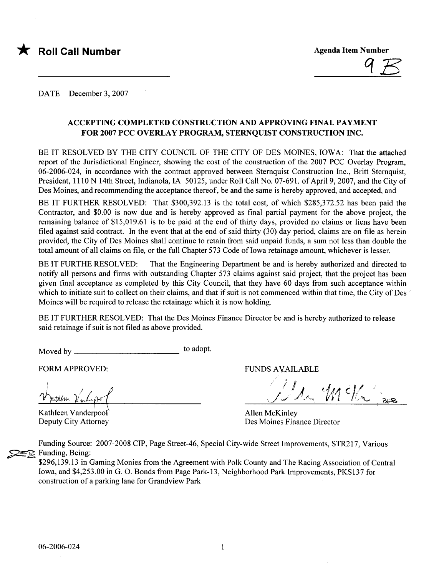

DATE December 3, 2007

#### ACCEPTING COMPLETED CONSTRUCTION AND APPROVING FINAL PAYMENT FOR 2007 PCC OVERLAY PROGRAM, STERNOUIST CONSTRUCTION INC.

BE IT RESOLVED BY THE CITY COUNCIL OF THE CITY OF DES MOINES, IOWA: That the attached report of the Jurisdictional Engineer, showing the cost of the construction of the 2007 PCC Overlay Program, 06-2006-024, in accordance with the contract approved between Sternquist Construction Inc., Britt Sternquist, President, 1110 N 14th Street, Indianola, IA 50125, under Roll Call No. 07-691, of April 9, 2007, and the City of Des Moines, and recommending the acceptance thereof, be and the same is hereby approved, and accepted, and

BE IT FURTHER RESOLVED: That \$300,392.13 is the total cost, of which \$285,372.52 has been paid the Contractor, and \$0.00 is now due and is hereby approved as final partial payment for the above project, the remaining balance of \$15,019.61 is to be paid at the end of thirty days, provided no claims or liens have been filed against said contract. In the event that at the end of said thirty  $(30)$  day period, claims are on file as herein provided, the City of Des Moines shall continue to retain from said unpaid funds, a sum not less than double the total amount of all claims on fie, or the full Chapter 573 Code of Iowa retainage amount, whichever is lesser.

BE IT FURTHE RESOLVED: That the Engineering Department be and is hereby authorized and directed to notify all persons and firms with outstanding Chapter 573 claims against said project, that the project has been given final acceptance as completed by this City Council, that they have 60 days from such acceptance within which to initiate suit to collect on their claims, and that if suit is not commenced within that time, the City of Des Moines will be required to release the retainage which it is now holding.

BE IT FURTHER RESOLVED: That the Des Moines Finance Director be and is hereby authorized to release said retainage if suit is not fied as above provided.

Moved by to adopt.

FORM APPROVED:

 $\frac{1}{2}$   $\frac{1}{2}$  $t$ them  $\ell$  in L-gy

Kathleen Vanderpool Deputy City Attorney

FUNDS AVAILABLE

Well :

Allen McKinley Des Moines Finance Director

Funding Source: 2007-2008 CIP, Page Street-46, Special City-wide Street Improvements, STR217, Various Funding, Being:

\$296,139.13 in Gaming Monies from the Agreement with Polk County and The Racing Association of Central Iowa, and \$4,253.00 in G. O. Bonds from Page Park-13, Neighborhood Park Improvements, PKS137 for construction of a parking lane for Grandview Park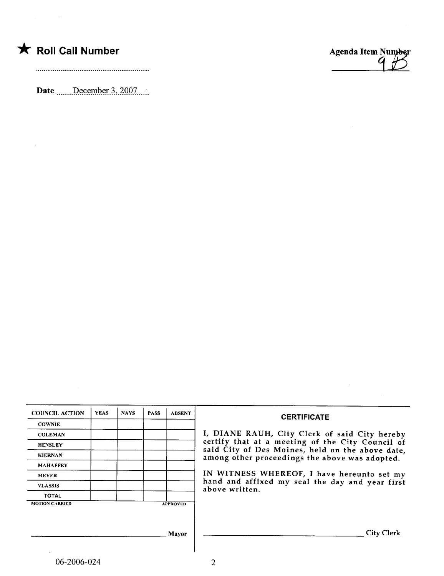## \* Roll Call Number Agenda Item Number

 $\mathcal{L}_{\text{max}}$  and  $\mathcal{L}_{\text{max}}$ 

 $\sim$ 

Date \_\_\_\_\_December 3, 2007 \_\_\_.



| <b>YEAS</b> | <b>NAYS</b> | <b>PASS</b> | <b>ABSENT</b> | <b>CERTIFICATE</b>                                                                                 |
|-------------|-------------|-------------|---------------|----------------------------------------------------------------------------------------------------|
|             |             |             |               |                                                                                                    |
|             |             |             |               | I, DIANE RAUH, City Clerk of said City hereby                                                      |
|             |             |             |               | certify that at a meeting of the City Council of                                                   |
|             |             |             |               | said City of Des Moines, held on the above date.<br>among other proceedings the above was adopted. |
|             |             |             |               |                                                                                                    |
|             |             |             |               | IN WITNESS WHEREOF, I have hereunto set my                                                         |
|             |             |             |               | hand and affixed my seal the day and year first<br>above written.                                  |
|             |             |             |               |                                                                                                    |
|             |             |             |               |                                                                                                    |
|             |             |             |               |                                                                                                    |
|             |             |             |               |                                                                                                    |
|             |             |             | <b>Mayor</b>  | <b>City Clerk</b>                                                                                  |
|             |             |             |               |                                                                                                    |
|             |             |             |               | <b>APPROVED</b>                                                                                    |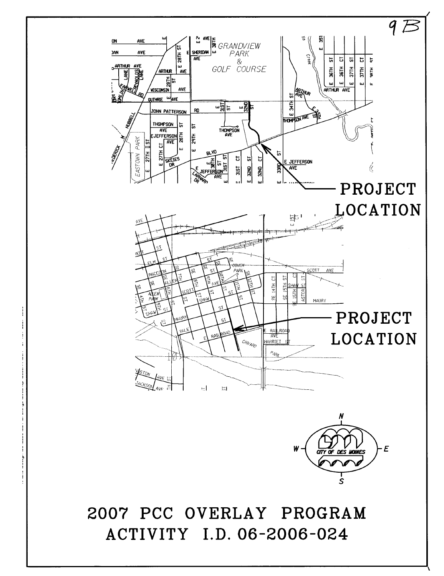

2007 PCC OVERLAY PROGRAM ACTIVITY I.D. 06-2006-024

\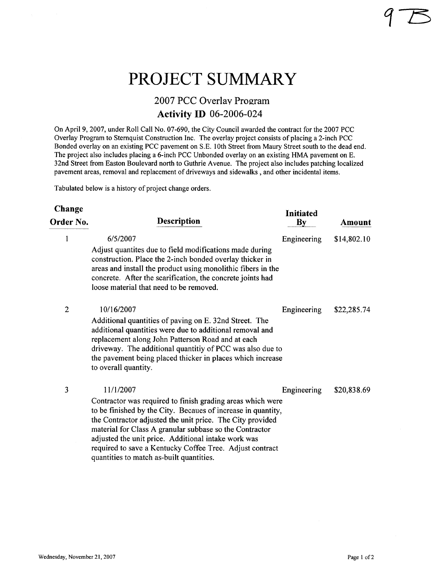## PROJECT SUMMARY

### 2007 PCC Overlay Program Activity ID 06-2006-024

On April 9, 2007, under Roll Call No. 07-690, the City Council awarded the contract for the 2007 PCC Overlay Program to Sternquist Construction Inc. The overlay project consists of placing a 2-inch PCC Bonded overlay on an existing PCC pavement on S.E. 10th Street from Maury Street south to the dead end. The project also includes placing a 6-inch PCC Unbonded overlay on an existing HMA pavement on E. 32nd Street from Easton Boulevard north to Guthrie Avenue. The project also includes patching localized pavement areas, removal and replacement of driveways and sidewalks, and other incidental items.

Tabulated below is a history of project change orders.

| Change         |                                                                                                                                                                                                                                                                                                                                                                                                                                | Initiated     |             |
|----------------|--------------------------------------------------------------------------------------------------------------------------------------------------------------------------------------------------------------------------------------------------------------------------------------------------------------------------------------------------------------------------------------------------------------------------------|---------------|-------------|
| Order No.      | <b>Description</b>                                                                                                                                                                                                                                                                                                                                                                                                             | $\mathbf{By}$ | Amount      |
| 1              | 6/5/2007<br>Adjust quantites due to field modifications made during<br>construction. Place the 2-inch bonded overlay thicker in<br>areas and install the product using monolithic fibers in the<br>concrete. After the scarification, the concrete joints had<br>loose material that need to be removed.                                                                                                                       | Engineering   | \$14,802.10 |
| $\overline{2}$ | 10/16/2007<br>Additional quantities of paving on E. 32nd Street. The<br>additional quantities were due to additional removal and<br>replacement along John Patterson Road and at each<br>driveway. The additional quantitiy of PCC was also due to<br>the pavement being placed thicker in places which increase<br>to overall quantity.                                                                                       | Engineering   | \$22,285.74 |
| 3              | 11/1/2007<br>Contractor was required to finish grading areas which were<br>to be finished by the City. Becaues of increase in quantity,<br>the Contractor adjusted the unit price. The City provided<br>material for Class A granular subbase so the Contractor<br>adjusted the unit price. Additional intake work was<br>required to save a Kentucky Coffee Tree. Adjust contract<br>quantities to match as-built quantities. | Engineering   | \$20,838.69 |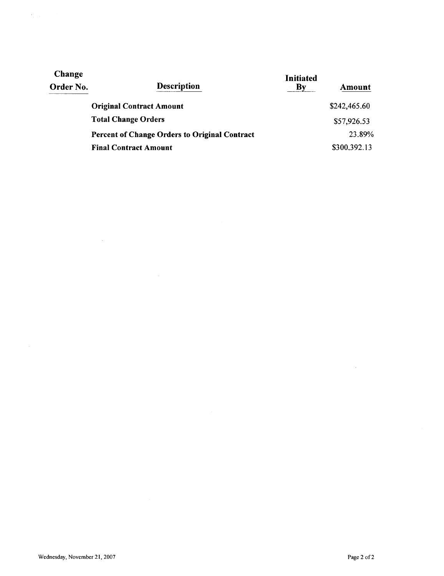| Change<br>Order No. | <b>Description</b>                                   | Initiated<br>By | Amount       |
|---------------------|------------------------------------------------------|-----------------|--------------|
|                     | <b>Original Contract Amount</b>                      |                 | \$242,465.60 |
|                     | <b>Total Change Orders</b>                           |                 | \$57,926.53  |
|                     | <b>Percent of Change Orders to Original Contract</b> |                 | 23.89%       |
|                     | <b>Final Contract Amount</b>                         |                 | \$300,392.13 |

 $\bar{.}$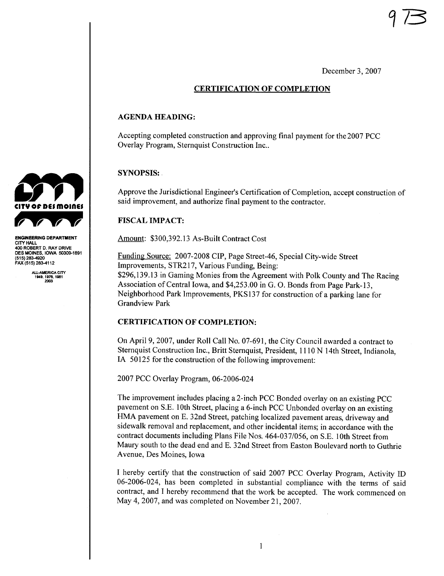December 3, 2007

#### CERTIFICATION OF COMPLETION

#### AGENDA HEADING:

Accepting completed construction and approving final payment for the 2007 PCC Overlay Program, Sternquist Construction Inc..

#### SYNOPSIS:

Approve the Jurisdictional Engineer's Certification of Completion, accept construction of said improvement, and authorize final payment to the contractor.

#### **FISCAL IMPACT:**

Amount: \$300,392.13 As-Built Contract Cost

Funding Source: 2007-2008 CIP, Page Street-46, Special City-wide Street Improvements, STR217, Various Funding, Being: \$296,139.13 in Gaming Monies from the Agreement with Polk County and The Racing Association of Central Iowa, and \$4,253.00 in G. O. Bonds from Page Park-13, Neighborhood Park Improvements, PKS137 for construction of a parking lane for Grandview Park

#### CERTIFICATION OF COMPLETION:

On April 9, 2007, under Roll Call No. 07-691, the City Council awarded a contract to Sternquist Construction Inc., Britt Sternquist, President, IlION 14th Street, Indianola, IA 50125 for the construction of the following improvement:

2007 PCC Overlay Program, 06-2006-024

The improvement includes placing a 2-inch PCC Bonded overlay on an existing PCC pavement on S.E. 10th Street, placing a 6-inch PCC Unbonded overlay on an existing HMA pavement on E. 32nd Street, patching localized pavement areas, driveway and sidewalk removal and replacement, and other incidental items; in accordance with the contract documents including Plans File Nos. 464-037/056, on S.E. 10th Street from Maury south to the dead end and E. 32nd Street from Easton Boulevard north to Guthrie Avenue, Des Moines, Iowa

I hereby certify that the construction of said 2007 PCC Overlay Program, Activity ID 06-2006-024, has been completed in substantial compliance with the terms of said contract, and I hereby recommend that the work be accepted. The work commenced on May 4,2007, and was completed on November 21,2007.



ENGINEERING DEPARTMENT **CITY HALL** 40 ROBERT D. RAY DRIVE DES MOINES, IOWA 50309-1891<br>(515) 283-4920 FAA (515) 283-4112

ALL-AMERICA CITY<br>1949, 1976, 1981<br>2003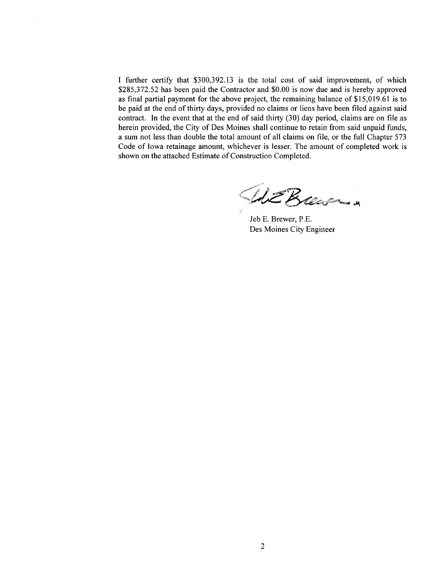I further certify that \$300,392.13 is the total cost of said improvement, of which \$285,372.52 has been paid the Contractor and \$0.00 is now due and is hereby approved as final partial payment for the above project, the remaining balance of \$15,019.61 is to be paid at the end of thirty days, provided no claims or liens have been filed against said contract. In the event that at the end of said thirty  $(30)$  day period, claims are on file as herein provided, the City of Des Moines shall continue to retain from said unpaid funds, a sum not less than double the total amount of all claims on fie, or the full Chapter 573 Code of Iowa retainage amount, whichever is lesser. The amount of completed work is shown on the attached Estimate of Construction Completed.

WE Breason

Jeb E. Brewer, P.E. Des Moines City Engineer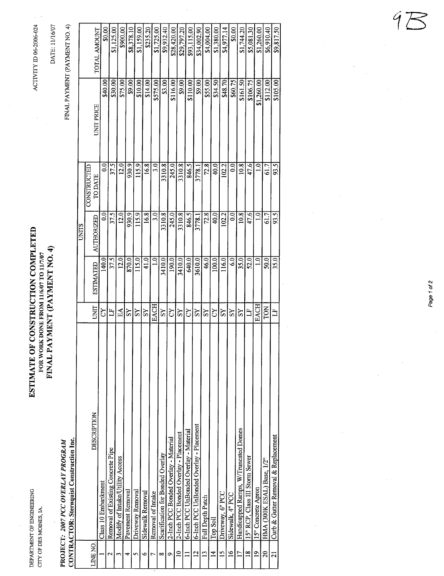DEPARTMENT OF ENGINEERING DEPARTMNT OF ENGINERIG CITY OF DES MOINES, IA. CIT OF DES MOINS, IA

# ESTIMATE OF CONSTRUCTION COMPLETED ESTIMATE OF CONSTRUCTION COMPLETED FINAL PAYMENT (PAYMENT NO. 4) FINAL PAYMENT (PAYMENT NO.4) FOR WORK DONE FROM 11/6/07 TO 11/7/07 FOR WORK DONE FROM 11/6/07 TO 11/7/07

ACTIVITY ID 06-2006-024 ACTIVY il 06-2006-024

FINAL PAYMENT (PAYMENT NO. 4) DATE: 11/16/07 DATE: 1116/07

 $\text{CONTRACTOR: Sternquist Construction Inc.}$ **CONTRACTOR: Sternquist Construction Inc.** PROJECT: 2007 PCC OVERLAY PROGRAM .PROJECT: 2007 PCC OVERLAY PROGRAM

 $\frac{1}{29,932.40}$  $$28,420.00$  $8900.00$  $$1,159.00$  $$1,725.00$ \$29,797.20  $\frac{893,115,00}{5}$ \$1,380.00  $$0.00$ \$5,081.30  $$1,260.00$ \$6,910.40 \$9,817.50 TOTAL AMOUNT Class 10 Embanent CY 140.0 0.0 0.0 \$40.00 \$0.00  $$0.00$ 2 Removal of Existing Concrete Pipe 2  $\begin{array}{|c|c|c|c|c|c|}\n\hline\n37.5 & 37.5 & 37.5 & 37.5 & 37.5 & 39.00 & 39.00 & 31,125.00 & 31,125.00 & 31.3 & 31.3 & 31.3 & 31.3 & 31.3 & 31.3 & 31.3 & 31.3 & 31.3 & 31.3 & 31.3 & 31.3 & 31.3 & 31.3 & 31.3 & 31$ \$1,125.00 Modify of Intake/Utility Access EA 12.0 12.0 12.0 \$75,00 \$900.00 4Pavement Removal<br>
SY 870.00 89.00 88,378.10 \$8,378.10  $\frac{5}{\text{Coisson}^2}$  Driveway Removal  $\frac{8Y}{\text{Coisson}}$  115.0 115.9 115.9 115.9 115.9 115.9 115.9 115.9 115.9 115.9 115.9 115.9 115.9 115.9 115.9 115.9 115.9 115.9 115.9 115.9 115.9 115.9 115.9 115.9 115.9 115.9 115.9 115.9 11 6 Sidewalk Removal  $\begin{array}{|c|c|c|c|c|}\n\hline\nS14.0 & 16.8 & 16.8 & 16.8 & 16.8 & 16.8 & 16.9 & 16.9 & 16.9 & 16.9 & 16.9 & 16.9 & 16.9 & 16.9 & 16.9 & 16.9 & 16.9 & 16.9 & 16.9 & 16.9 & 16.9 & 16.9 & 16.9 & 16.9 & 16.9 & 16.9 & 16.9 & 16.9 & 16.9 & 16.9$  $$235.20$  Removal of Intake EACH 1.0 3.0 3.0 \$575.00 \$1,725.00  $\begin{array}{|l|c|c|c|c|}\n 8 & Searification for Bonded Overlay & 1000 & 3410.0 & 3310.8 & 3310.8 & 3310.8 & 3310.8 & 3310.8 & 3310.8 & 3310.8 & 3310.8 & 3310.8 & 3310.8 & 3310.8 & 3310.8 & 3310.8 & 3310.8 & 3310.8 & 3310.8 & 3310.8 &$  2-Inch PCC Bonded Overlay - Material CY 190.0 245.0 245.0 \$116.00 \$28,420.00 10 2-Inch PCC Bonded Overlay - Placement  $SY$  3410.0 3310.8 3310.8 3310.8  $\frac{1}{4}$  3310.8  $\frac{1}{4}$  3310.8  $\frac{1}{4}$ 11 6-Inch PCC UnBonded Overlay - Material CY CY 640.0 846.5 846.5 846.5  $\frac{640.5}{640.0}$ 12  $6$ -Inch PCC UnBonded Overlay - Placement SY  $\begin{bmatrix} SY \\ SY \\ \frac{25}{100} \end{bmatrix}$  3778.1 3778.1  $\begin{bmatrix} 3778.1 \\ 3778.1 \end{bmatrix}$  39.00  $\begin{bmatrix} 99.00 \\ 99.00 \end{bmatrix}$  $$34,002.90$ 13 Full Depth Patch S4,004.00  $\frac{84,004,00}{0}$   $\frac{8Y}{2}$   $\frac{1}{2}$   $\frac{8Y}{2}$   $\frac{1}{2}$   $\frac{46.0}{2}$   $\frac{72.8}{2}$   $\frac{72.8}{2}$ \$4,004.00 14 Top Soil CY 100.00 40.0 40.0 40.0 40.0 40.0 51,380.00 51,380.00 524.50 534.50 534.50 534.50 534.50 534.50 534.50 538.00 5380.00 51,380.00 51,380.00 51,380.00 51,380.00 51,380.00 51,380.00 51,380.00 51,380.00 51,380.00 5 15 Driveway, 6" PCC  $\frac{15}{16.0}$  SY 116.0 102.2 102.2 102.2 102.2 103.70 \$48.70  $\frac{19.77114}{56.0}$ \$4,977.14 16 Sidewalk, 4" PCC  $\frac{1}{11}$  SY  $\frac{8Y}{1}$  6.0 0.0 0.0 0.0 0.0 0.0 0.0 0.0 0.00 0.0 17 Handicapped Ramps, W/Truncated Domes SY SY SY 35.0 10.8 10.8 10.8 10.8 31.61.50 31,744.20 \$1,744.20 18 15" RCP, Class III Storm Sewer LF LF 52.0 47.6 47.6 47.6 58.0 53.0 47.6 52.0 53.081.30 19  $15"$  Concrete Apron  $\frac{1260.00}{\sqrt{31,260.00}}$   $\frac{10}{10}$  1.0  $\frac{1}{10}$  1.0  $\frac{1}{10}$  1.0 20 HMA (300K ESAL) Base, 1/2" TON 50.0 61.7 61.7 \$112.00 \$6,910.40 21  $\boxed{\text{Curb } \& \text{Gutter Renoval } \& \text{ Replaecment}$   $\boxed{\text{LF} \begin{bmatrix} \text{LF} \end{bmatrix}$  35.0 93.5 93.5 93.5 93.5 35.00 \$105.00 \$9,817.50 LINE NO. DESCRIPTION NOTION UNIT ESTIMATED AUTHORIZED ODATE UNIT PRICE TO DATE UNIT PRICE TOTAL AMOUNT \$40.00 \$75.00  $$9.00$  $$10.00$  $$3.00$  $\sqrt{39.00}$  $$9.00$  $$55.00$ \$34.50 \$48.70 \$60.75 \$30.00 \$14.00 \$575.00 \$116.00 \$110.00  $\frac{1}{161.50}$ \$106.75 \$1,260.00 \$112.00  $\frac{105.00}{2}$ **UNIT PRICE**  $37.5$  $|12.0|$  $0.0$ 930.9 115.9  $16.8$  $\frac{3.0}{3}$  $245.0$  $3310.8$ 846.5  $72.8$  $|0.01$  $102.2$  $10.8$ 47.6  $93.5$ 3310.8  $\overline{0.0}$  $\mathbf{E}$ **CONSTRUCTED** 3778.1 61.7 CONSTRUCTED **TO DATE**  $\overline{\frac{37.5}{}}$ 3310.8  $0.0$ 12.0 930.9 115.9 16.8 245.0 846.5  $72.8$  $40.0$  $|02.2|$  $10.8$ 47.6  $61.7$  $\overline{93.5}$  $\frac{3}{2}$ 3310.8  $\frac{6}{3}$ 3778.1 **AUTHORIZED** UNITS 115.0  $3610.0$  $116.0$  $\sqrt{350}$ 140.0 37.5  $12.0$ 870.0 41.0 3410.0  $190.0$ 3410.0 46.0  $100.0$  $\frac{6}{9}$  $52.0$  $50.0$  $35.0$  $\frac{1}{2}$  $\overline{1.0}$ 640.0 **ESTIMATED EACH** UNIT **EACH TON** EA Ë **ZQ**  $\overline{S}$  $\overline{ss}$  $\overline{\mathbf{L}}$ S<sub>2</sub>  $|\mathbb{S}|$  $\overline{S}$  $SS$  $\overline{S}$  $|SY|$  $\Omega$ **AS**  $SS$  $\overline{S}$  $\overline{\mathbf{L}}$  $\overline{S}$ **DESCRIPTION** 6-Inch PCC UnBonded Overlay - Placement Handicapped Ramps, W/Truncated Domes 6-Inch PCC UnBonded Overlay - Material 2-Inch PCC Bonded Overlay - Placement Curb & Gutter Removal & Replacement 2-Inch PCC Bonded Overlay - Material Removal of Existing Concrete Pipe Scarification for Bonded Overlay 15" RCP, Class III Storm Sewer Modify of Intake/Utility Access HMA (300K ESAL) Base, 1/2" Class 10 Embankment 15" Concrete Apron Pavement Removal Driveway Removal Driveway, 6" PCC Sidewalk Removal Removal of Intake Sidewalk, 4" PCC Full Depth Patch Top Soil LINE NO.  $\vec{z}$ 5  $\tilde{a}$  $\frac{8}{10}$  $\mathbf{a}$  $\overline{20}$  $\approx$  $\overline{12}$  $13$  $\overline{21}$  $\circ$ 6 $^{\circ}$  $\sim$ ግ 57

 $\mathcal{G}$ 

 $\leq$